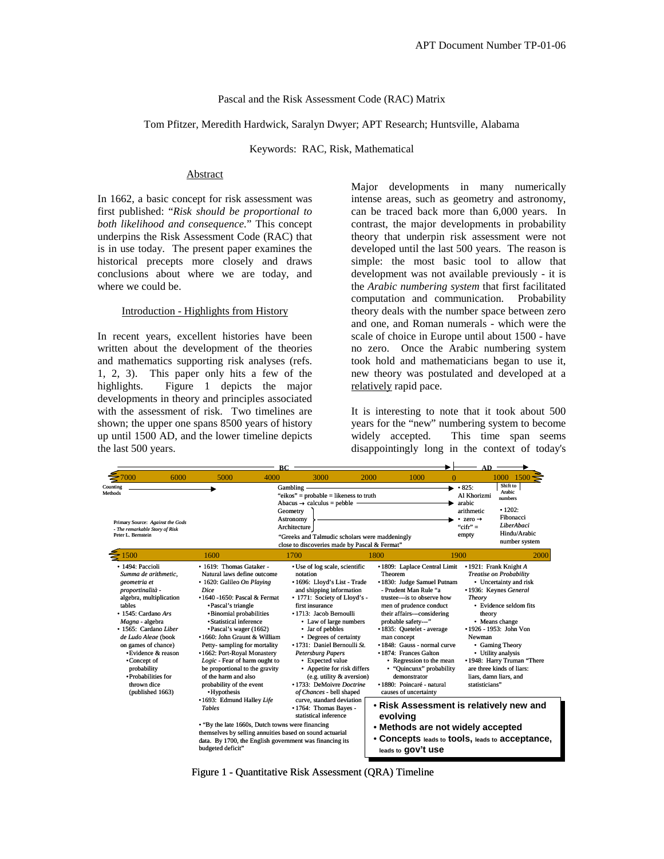### Pascal and the Risk Assessment Code (RAC) Matrix

## Tom Pfitzer, Meredith Hardwick, Saralyn Dwyer; APT Research; Huntsville, Alabama

Keywords: RAC, Risk, Mathematical

## Abstract

In 1662, a basic concept for risk assessment was first published: "*Risk should be proportional to both likelihood and consequence.*" This concept underpins the Risk Assessment Code (RAC) that is in use today. The present paper examines the historical precepts more closely and draws conclusions about where we are today, and where we could be.

#### Introduction - Highlights from History

In recent years, excellent histories have been written about the development of the theories and mathematics supporting risk analyses (refs. 1, 2, 3). This paper only hits a few of the highlights. Figure 1 depicts the major developments in theory and principles associated with the assessment of risk. Two timelines are shown; the upper one spans 8500 years of history up until 1500 AD, and the lower timeline depicts the last 500 years.

Major developments in many numerically intense areas, such as geometry and astronomy, can be traced back more than 6,000 years. In contrast, the major developments in probability theory that underpin risk assessment were not developed until the last 500 years. The reason is simple: the most basic tool to allow that development was not available previously - it is the *Arabic numbering system* that first facilitated computation and communication. Probability theory deals with the number space between zero and one, and Roman numerals - which were the scale of choice in Europe until about 1500 - have no zero. Once the Arabic numbering system took hold and mathematicians began to use it, new theory was postulated and developed at a relatively rapid pace.

It is interesting to note that it took about 500 years for the "new" numbering system to become widely accepted. This time span seems disappointingly long in the context of today's

|                                                                                                                                                                                                                                                                                                                                                   | AD   |                                                                                                                                                                                                                                                                                                                                                                                                                                                                               |                                     |                                                                                                                                                                                                                                                                                                                                                                                                                                                                   |                                                                                                                                                                                                                                                                                                                                                                                                                                                        |                                                                                                                           |                                                                                                                                                                                                                                                                                                                                               |  |
|---------------------------------------------------------------------------------------------------------------------------------------------------------------------------------------------------------------------------------------------------------------------------------------------------------------------------------------------------|------|-------------------------------------------------------------------------------------------------------------------------------------------------------------------------------------------------------------------------------------------------------------------------------------------------------------------------------------------------------------------------------------------------------------------------------------------------------------------------------|-------------------------------------|-------------------------------------------------------------------------------------------------------------------------------------------------------------------------------------------------------------------------------------------------------------------------------------------------------------------------------------------------------------------------------------------------------------------------------------------------------------------|--------------------------------------------------------------------------------------------------------------------------------------------------------------------------------------------------------------------------------------------------------------------------------------------------------------------------------------------------------------------------------------------------------------------------------------------------------|---------------------------------------------------------------------------------------------------------------------------|-----------------------------------------------------------------------------------------------------------------------------------------------------------------------------------------------------------------------------------------------------------------------------------------------------------------------------------------------|--|
| '000                                                                                                                                                                                                                                                                                                                                              | 6000 | 5000                                                                                                                                                                                                                                                                                                                                                                                                                                                                          | 4000                                | 3000                                                                                                                                                                                                                                                                                                                                                                                                                                                              | 2000<br>1000                                                                                                                                                                                                                                                                                                                                                                                                                                           | $\Omega$                                                                                                                  | 1000<br>1500                                                                                                                                                                                                                                                                                                                                  |  |
| Counting<br>Methods<br>Primary Source: Against the Gods<br>- The remarkable Story of Risk<br>Peter L. Bernstein                                                                                                                                                                                                                                   |      |                                                                                                                                                                                                                                                                                                                                                                                                                                                                               | Gambling -<br>Geometry<br>Astronomy | "eikos" = probable = likeness to truth<br>Abacus $\rightarrow$ calculus = pebble $\cdot$<br>Architecture<br>"Greeks and Talmudic scholars were maddeningly<br>close to discoveries made by Pascal & Fermat"                                                                                                                                                                                                                                                       |                                                                                                                                                                                                                                                                                                                                                                                                                                                        | $\cdot$ 825:<br>ь.<br>Al Khorizmi<br>arabic<br>arithmetic<br>• zero $\rightarrow$<br>" $\operatorname{cifr}$ " =<br>empty | Shift to<br>Arabic<br><b>numbers</b><br>•1202:<br>Fibonacci<br><b>LiberAbaci</b><br>Hindu/Arabic<br>number system                                                                                                                                                                                                                             |  |
| $= 1500$                                                                                                                                                                                                                                                                                                                                          |      | 1600                                                                                                                                                                                                                                                                                                                                                                                                                                                                          |                                     | 1700                                                                                                                                                                                                                                                                                                                                                                                                                                                              | 1800                                                                                                                                                                                                                                                                                                                                                                                                                                                   | 1900                                                                                                                      | 2000                                                                                                                                                                                                                                                                                                                                          |  |
| • 1494: Paccioli<br>Summa de arithmetic.<br>geometria et<br>proportinalità -<br>algebra, multiplication<br>tables<br>• 1545: Cardano Ars<br>Magna - algebra<br>• 1565: Cardano Liber<br>de Ludo Aleae (book<br>on games of chance)<br>• Evidence & reason<br>•Concept of<br>probability<br>• Probabilities for<br>thrown dice<br>(published 1663) |      | • 1619: Thomas Gataker -<br>Natural laws define outcome<br>· 1620: Galileo On Playing<br>Dice<br>• 1640 - 1650: Pascal & Fermat<br>•Pascal's triangle<br>• Binomial probabilities<br>• Statistical inference<br>•Pascal's wager (1662)<br>•1660: John Graunt & William<br>Petty-sampling for mortality<br>• 1662: Port-Royal Monastery<br>Logic - Fear of harm ought to<br>be proportional to the gravity<br>of the harm and also<br>probability of the event<br>• Hypothesis |                                     | • Use of log scale, scientific<br>notation<br>• 1696: Lloyd's List - Trade<br>and shipping information<br>• 1771: Society of Lloyd's -<br>first insurance<br>• 1713: Jacob Bernoulli<br>• Law of large numbers<br>• Jar of pebbles<br>• Degrees of certainty<br>• 1731: Daniel Bernoulli St.<br><b>Petersburg Papers</b><br>• Expected value<br>• Appetite for risk differs<br>(e.g. utility & aversion)<br>• 1733: DeMoivre Doctrine<br>of Chances - bell shaped | • 1809: Laplace Central Limit<br>Theorem<br>• 1830: Judge Samuel Putnam<br>- Prudent Man Rule "a<br>trustee---is to observe how<br>men of prudence conduct<br>their affairs---considering<br>probable safety---"<br>• 1835: Quetelet - average<br>man concept<br>• 1848: Gauss - normal curve<br>• 1874: Frances Galton<br>• Regression to the mean<br>• "Quincunx" probability<br>demonstrator<br>• 1880: Poincaré - natural<br>causes of uncertainty | <b>Theory</b><br>Newman                                                                                                   | • 1921: Frank Knight A<br><b>Treatise on Probability</b><br>• Uncertainty and risk<br>• 1936: Keynes General<br>• Evidence seldom fits<br>theory<br>• Means change<br>•1926 - 1953: John Von<br>• Gaming Theory<br>• Utility analysis<br>• 1948: Harry Truman "There<br>are three kinds of liars:<br>liars, damn liars, and<br>statisticians" |  |
|                                                                                                                                                                                                                                                                                                                                                   |      | •1693: Edmund Halley Life<br>curve, standard deviation<br><b>Tables</b><br>• 1764: Thomas Bayes -<br>statistical inference<br>• "By the late 1660s, Dutch towns were financing<br>themselves by selling annuities based on sound actuarial<br>data. By 1700, the English government was financing its<br>budgeted deficit"                                                                                                                                                    |                                     |                                                                                                                                                                                                                                                                                                                                                                                                                                                                   | • Risk Assessment is relatively new and<br>evolving<br>• Methods are not widely accepted<br>• Concepts leads to tools, leads to acceptance,<br>leads to gov't use                                                                                                                                                                                                                                                                                      |                                                                                                                           |                                                                                                                                                                                                                                                                                                                                               |  |

Figure 1 - Quantitative Risk Assessment (QRA) Timeline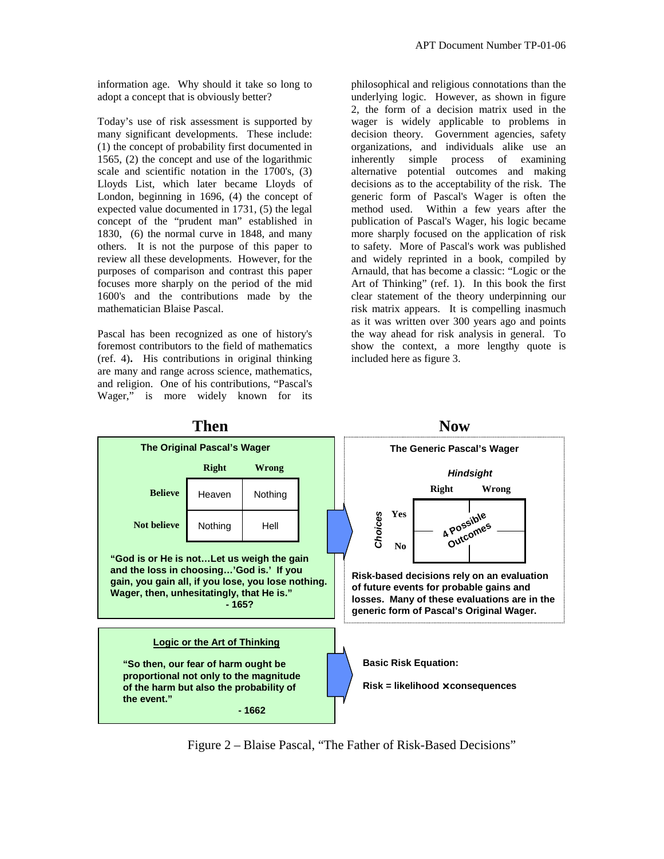information age. Why should it take so long to adopt a concept that is obviously better?

Today's use of risk assessment is supported by many significant developments. These include: (1) the concept of probability first documented in 1565, (2) the concept and use of the logarithmic scale and scientific notation in the 1700's, (3) Lloyds List, which later became Lloyds of London, beginning in 1696, (4) the concept of expected value documented in 1731, (5) the legal concept of the "prudent man" established in 1830, (6) the normal curve in 1848, and many others. It is not the purpose of this paper to review all these developments. However, for the purposes of comparison and contrast this paper focuses more sharply on the period of the mid 1600's and the contributions made by the mathematician Blaise Pascal.

Pascal has been recognized as one of history's foremost contributors to the field of mathematics (ref. 4)**.** His contributions in original thinking are many and range across science, mathematics, and religion. One of his contributions, "Pascal's Wager," is more widely known for its

philosophical and religious connotations than the underlying logic. However, as shown in figure 2, the form of a decision matrix used in the wager is widely applicable to problems in decision theory. Government agencies, safety organizations, and individuals alike use an inherently simple process of examining alternative potential outcomes and making decisions as to the acceptability of the risk. The generic form of Pascal's Wager is often the method used. Within a few years after the publication of Pascal's Wager, his logic became more sharply focused on the application of risk to safety. More of Pascal's work was published and widely reprinted in a book, compiled by Arnauld, that has become a classic: "Logic or the Art of Thinking" (ref. 1). In this book the first clear statement of the theory underpinning our risk matrix appears. It is compelling inasmuch as it was written over 300 years ago and points the way ahead for risk analysis in general. To show the context, a more lengthy quote is included here as figure 3.



**Then** Now

Figure 2 – Blaise Pascal, "The Father of Risk-Based Decisions"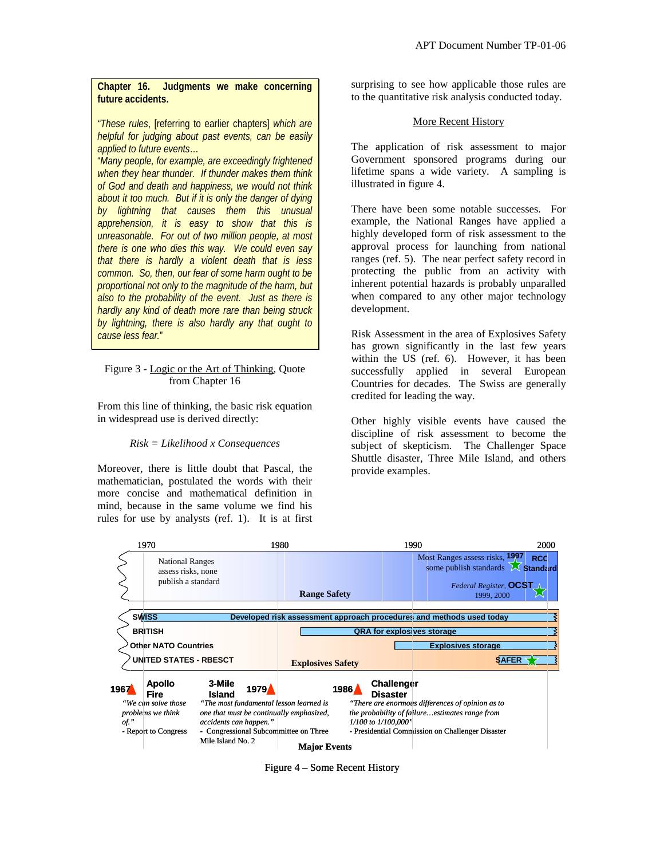# **Chapter 16. Judgments we make concerning future accidents.**

*"These rules*, [referring to earlier chapters] *which are helpful for judging about past events, can be easily applied to future events…* 

"*Many people, for example, are exceedingly frightened when they hear thunder. If thunder makes them think of God and death and happiness, we would not think about it too much. But if it is only the danger of dying by lightning that causes them this unusual apprehension, it is easy to show that this is unreasonable. For out of two million people, at most there is one who dies this way. We could even say that there is hardly a violent death that is less common. So, then, our fear of some harm ought to be proportional not only to the magnitude of the harm, but also to the probability of the event. Just as there is hardly any kind of death more rare than being struck by lightning, there is also hardly any that ought to cause less fear.*"

## Figure 3 - Logic or the Art of Thinking, Quote from Chapter 16

From this line of thinking, the basic risk equation in widespread use is derived directly:

# *Risk = Likelihood x Consequences*

Moreover, there is little doubt that Pascal, the mathematician, postulated the words with their more concise and mathematical definition in mind, because in the same volume we find his rules for use by analysts (ref. 1). It is at first surprising to see how applicable those rules are to the quantitative risk analysis conducted today.

## More Recent History

The application of risk assessment to major Government sponsored programs during our lifetime spans a wide variety. A sampling is illustrated in figure 4.

There have been some notable successes. For example, the National Ranges have applied a highly developed form of risk assessment to the approval process for launching from national ranges (ref. 5). The near perfect safety record in protecting the public from an activity with inherent potential hazards is probably unparalled when compared to any other major technology development.

Risk Assessment in the area of Explosives Safety has grown significantly in the last few years within the US (ref. 6). However, it has been successfully applied in several European Countries for decades. The Swiss are generally credited for leading the way.

Other highly visible events have caused the discipline of risk assessment to become the subject of skepticism. The Challenger Space Shuttle disaster, Three Mile Island, and others provide examples.



Figure 4 – Some Recent History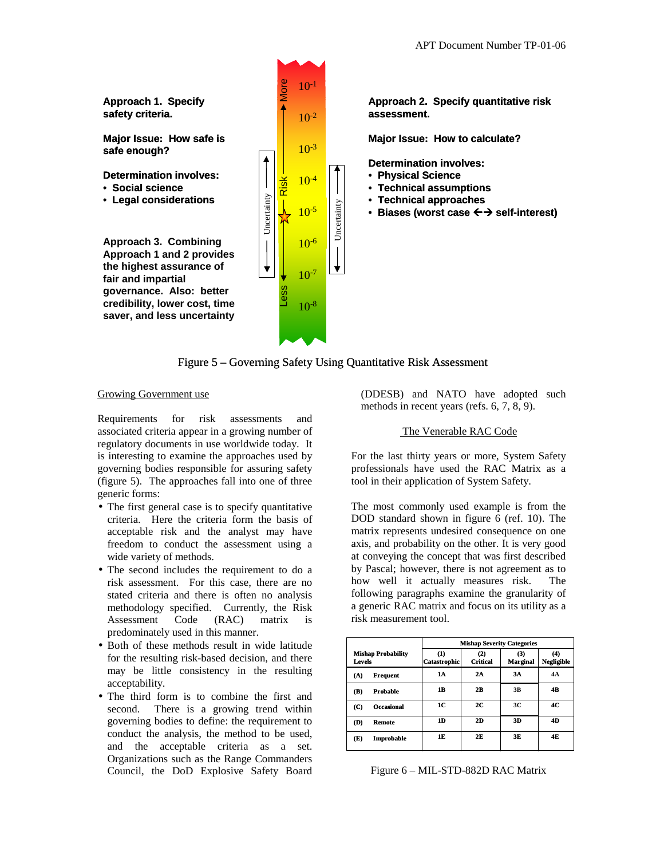

Figure 5 – Governing Safety Using Quantitative Risk Assessment

#### Growing Government use

Requirements for risk assessments and associated criteria appear in a growing number of regulatory documents in use worldwide today. It is interesting to examine the approaches used by governing bodies responsible for assuring safety (figure 5). The approaches fall into one of three generic forms:

- The first general case is to specify quantitative criteria. Here the criteria form the basis of acceptable risk and the analyst may have freedom to conduct the assessment using a wide variety of methods.
- The second includes the requirement to do a risk assessment. For this case, there are no stated criteria and there is often no analysis methodology specified. Currently, the Risk Assessment Code (RAC) matrix is predominately used in this manner.
- Both of these methods result in wide latitude for the resulting risk-based decision, and there may be little consistency in the resulting acceptability.
- The third form is to combine the first and second. There is a growing trend within governing bodies to define: the requirement to conduct the analysis, the method to be used, and the acceptable criteria as a set. Organizations such as the Range Commanders Council, the DoD Explosive Safety Board

(DDESB) and NATO have adopted such methods in recent years (refs. 6, 7, 8, 9).

## The Venerable RAC Code

For the last thirty years or more, System Safety professionals have used the RAC Matrix as a tool in their application of System Safety.

The most commonly used example is from the DOD standard shown in figure 6 (ref. 10). The matrix represents undesired consequence on one axis, and probability on the other. It is very good at conveying the concept that was first described by Pascal; however, there is not agreement as to how well it actually measures risk. The following paragraphs examine the granularity of a generic RAC matrix and focus on its utility as a risk measurement tool.

|                                     | <b>Mishap Severity Categories</b> |                        |                             |                        |  |  |  |
|-------------------------------------|-----------------------------------|------------------------|-----------------------------|------------------------|--|--|--|
| <b>Mishap Probability</b><br>Levels | (1)<br> Catastrophic              | (2)<br><b>Critical</b> | $\bf(3)$<br><b>Marginal</b> | $\bf{4}$<br>Negligible |  |  |  |
| (A)<br><b>Frequent</b>              | 1A                                | 2A                     | 3A                          | 4A                     |  |  |  |
| Probable<br>(B)                     | 1B                                | 2B                     | 3B                          | 4B                     |  |  |  |
| <b>Occasional</b><br>(C)            | 1C                                | 2C                     | 3C                          | 4C                     |  |  |  |
| (D)<br><b>Remote</b>                | 1D                                | 2D                     | 3D                          | 4D                     |  |  |  |
| (E)<br>Improbable                   | 1E                                | 2F                     | 3E                          | 4F                     |  |  |  |

Figure 6 – MIL-STD-882D RAC Matrix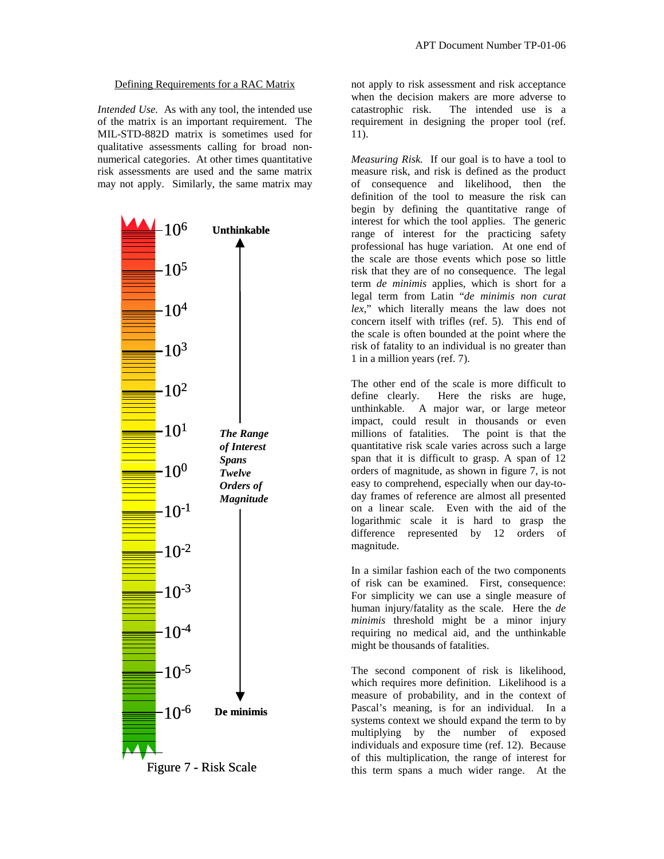## Defining Requirements for a RAC Matrix

*Intended Use.* As with any tool, the intended use of the matrix is an important requirement. The MIL-STD-882D matrix is sometimes used for qualitative assessments calling for broad nonnumerical categories. At other times quantitative risk assessments are used and the same matrix may not apply. Similarly, the same matrix may



Figure 7 - Risk Scale

not apply to risk assessment and risk acceptance when the decision makers are more adverse to catastrophic risk. The intended use is a requirement in designing the proper tool (ref. 11).

*Measuring Risk.* If our goal is to have a tool to measure risk, and risk is defined as the product of consequence and likelihood, then the definition of the tool to measure the risk can begin by defining the quantitative range of interest for which the tool applies. The generic range of interest for the practicing safety professional has huge variation. At one end of the scale are those events which pose so little risk that they are of no consequence. The legal term *de minimis* applies, which is short for a legal term from Latin "*de minimis non curat lex,*" which literally means the law does not concern itself with trifles (ref. 5). This end of the scale is often bounded at the point where the risk of fatality to an individual is no greater than 1 in a million years (ref. 7).

The other end of the scale is more difficult to define clearly. Here the risks are huge, unthinkable. A major war, or large meteor impact, could result in thousands or even millions of fatalities. The point is that the quantitative risk scale varies across such a large span that it is difficult to grasp. A span of 12 orders of magnitude, as shown in figure 7, is not easy to comprehend, especially when our day-today frames of reference are almost all presented on a linear scale. Even with the aid of the logarithmic scale it is hard to grasp the difference represented by 12 orders of magnitude.

In a similar fashion each of the two components of risk can be examined. First, consequence: For simplicity we can use a single measure of human injury/fatality as the scale. Here the *de minimis* threshold might be a minor injury requiring no medical aid, and the unthinkable might be thousands of fatalities.

The second component of risk is likelihood, which requires more definition. Likelihood is a measure of probability, and in the context of Pascal's meaning, is for an individual. In a systems context we should expand the term to by multiplying by the number of exposed individuals and exposure time (ref. 12). Because of this multiplication, the range of interest for this term spans a much wider range. At the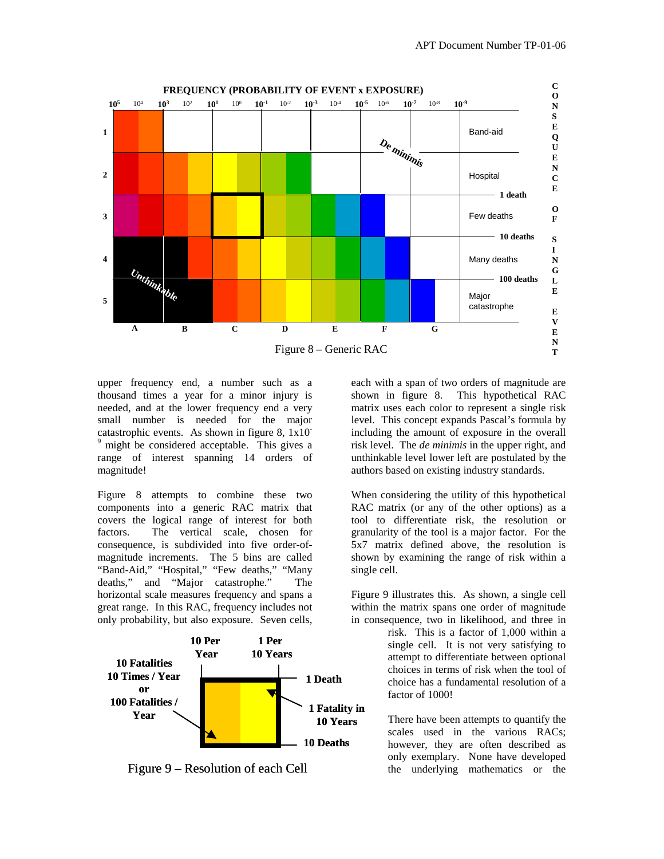

upper frequency end, a number such as a thousand times a year for a minor injury is needed, and at the lower frequency end a very small number is needed for the major catastrophic events. As shown in figure 8, 1x10- <sup>9</sup> might be considered acceptable. This gives a range of interest spanning 14 orders of magnitude!

Figure 8 attempts to combine these two components into a generic RAC matrix that covers the logical range of interest for both factors. The vertical scale, chosen for consequence, is subdivided into five order-ofmagnitude increments. The 5 bins are called "Band-Aid," "Hospital," "Few deaths," "Many deaths," and "Major catastrophe." The horizontal scale measures frequency and spans a great range. In this RAC, frequency includes not only probability, but also exposure. Seven cells,



Figure 9 – Resolution of each Cell

each with a span of two orders of magnitude are shown in figure 8. This hypothetical RAC matrix uses each color to represent a single risk level. This concept expands Pascal's formula by including the amount of exposure in the overall risk level. The *de minimis* in the upper right, and unthinkable level lower left are postulated by the authors based on existing industry standards.

When considering the utility of this hypothetical RAC matrix (or any of the other options) as a tool to differentiate risk, the resolution or granularity of the tool is a major factor. For the 5x7 matrix defined above, the resolution is shown by examining the range of risk within a single cell.

Figure 9 illustrates this. As shown, a single cell within the matrix spans one order of magnitude in consequence, two in likelihood, and three in

> risk. This is a factor of 1,000 within a single cell. It is not very satisfying to attempt to differentiate between optional choices in terms of risk when the tool of choice has a fundamental resolution of a factor of 1000!

> There have been attempts to quantify the scales used in the various RACs; however, they are often described as only exemplary. None have developed the underlying mathematics or the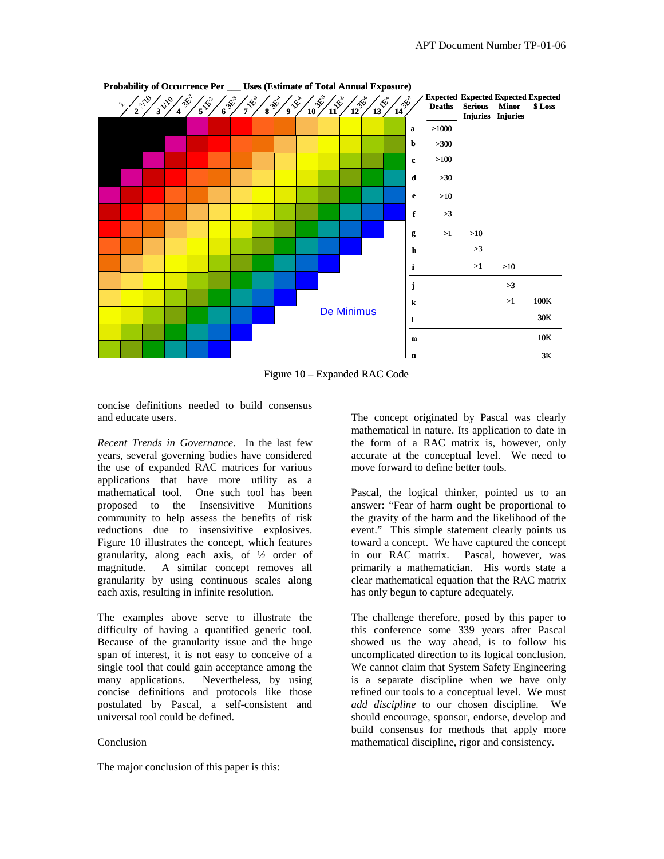

**Probability of Occurrence Per \_\_\_ Uses (Estimate of Total Annual Exposure)**

Figure 10 – Expanded RAC Code

concise definitions needed to build consensus and educate users.

*Recent Trends in Governance*. In the last few years, several governing bodies have considered the use of expanded RAC matrices for various applications that have more utility as a mathematical tool. One such tool has been proposed to the Insensivitive Munitions community to help assess the benefits of risk reductions due to insensivitive explosives. Figure 10 illustrates the concept, which features granularity, along each axis, of ½ order of magnitude. A similar concept removes all granularity by using continuous scales along each axis, resulting in infinite resolution.

The examples above serve to illustrate the difficulty of having a quantified generic tool. Because of the granularity issue and the huge span of interest, it is not easy to conceive of a single tool that could gain acceptance among the many applications. Nevertheless, by using concise definitions and protocols like those postulated by Pascal, a self-consistent and universal tool could be defined.

#### Conclusion

The major conclusion of this paper is this:

The concept originated by Pascal was clearly mathematical in nature. Its application to date in the form of a RAC matrix is, however, only accurate at the conceptual level. We need to move forward to define better tools.

Pascal, the logical thinker, pointed us to an answer: "Fear of harm ought be proportional to the gravity of the harm and the likelihood of the event." This simple statement clearly points us toward a concept. We have captured the concept in our RAC matrix. Pascal, however, was primarily a mathematician. His words state a clear mathematical equation that the RAC matrix has only begun to capture adequately.

The challenge therefore, posed by this paper to this conference some 339 years after Pascal showed us the way ahead, is to follow his uncomplicated direction to its logical conclusion. We cannot claim that System Safety Engineering is a separate discipline when we have only refined our tools to a conceptual level. We must *add discipline* to our chosen discipline. We should encourage, sponsor, endorse, develop and build consensus for methods that apply more mathematical discipline, rigor and consistency.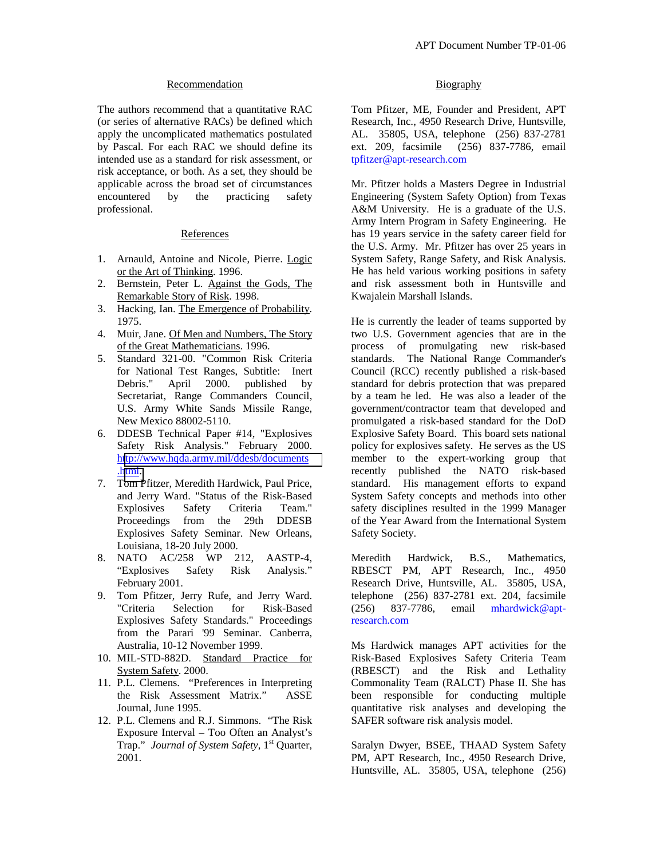## Recommendation

The authors recommend that a quantitative RAC (or series of alternative RACs) be defined which apply the uncomplicated mathematics postulated by Pascal. For each RAC we should define its intended use as a standard for risk assessment, or risk acceptance, or both. As a set, they should be applicable across the broad set of circumstances encountered by the practicing safety professional.

#### References

- 1. Arnauld, Antoine and Nicole, Pierre. Logic or the Art of Thinking. 1996.
- 2. Bernstein, Peter L. Against the Gods, The Remarkable Story of Risk. 1998.
- 3. Hacking, Ian. The Emergence of Probability. 1975.
- 4. Muir, Jane. Of Men and Numbers, The Story of the Great Mathematicians. 1996.
- 5. Standard 321-00. "Common Risk Criteria for National Test Ranges, Subtitle: Inert Debris." April 2000. published by Secretariat, Range Commanders Council, U.S. Army White Sands Missile Range, New Mexico 88002-5110.
- 6. DDESB Technical Paper #14, "Explosives Safety Risk Analysis." February 2000. h[ttp://www.hqda.army.mil/ddesb/documents](http://www.hqda.army.mil/ddesb/documents.html) .[html.](http://www.hqda.army.mil/ddesb/documents.html)
- 7. Tom Pfitzer, Meredith Hardwick, Paul Price, and Jerry Ward. "Status of the Risk-Based Explosives Safety Criteria Team." Proceedings from the 29th DDESB Explosives Safety Seminar. New Orleans, Louisiana, 18-20 July 2000.
- 8. NATO AC/258 WP 212, AASTP-4, "Explosives Safety Risk Analysis." February 2001.
- 9. Tom Pfitzer, Jerry Rufe, and Jerry Ward. "Criteria Selection for Risk-Based Explosives Safety Standards." Proceedings from the Parari '99 Seminar. Canberra, Australia, 10-12 November 1999.
- 10. MIL-STD-882D. Standard Practice for System Safety. 2000.
- 11. P.L. Clemens. "Preferences in Interpreting the Risk Assessment Matrix." ASSE Journal, June 1995.
- 12. P.L. Clemens and R.J. Simmons. "The Risk Exposure Interval – Too Often an Analyst's Trap." *Journal of System Safety*, 1<sup>st</sup> Quarter, 2001.

# **Biography**

Tom Pfitzer, ME, Founder and President, APT Research, Inc., 4950 Research Drive, Huntsville, AL. 35805, USA, telephone (256) 837-2781 ext. 209, facsimile (256) 837-7786, email tpfitzer@apt-research.com

Mr. Pfitzer holds a Masters Degree in Industrial Engineering (System Safety Option) from Texas A&M University. He is a graduate of the U.S. Army Intern Program in Safety Engineering. He has 19 years service in the safety career field for the U.S. Army. Mr. Pfitzer has over 25 years in System Safety, Range Safety, and Risk Analysis. He has held various working positions in safety and risk assessment both in Huntsville and Kwajalein Marshall Islands.

He is currently the leader of teams supported by two U.S. Government agencies that are in the process of promulgating new risk-based standards. The National Range Commander's Council (RCC) recently published a risk-based standard for debris protection that was prepared by a team he led. He was also a leader of the government/contractor team that developed and promulgated a risk-based standard for the DoD Explosive Safety Board. This board sets national policy for explosives safety. He serves as the US member to the expert-working group that recently published the NATO risk-based standard. His management efforts to expand System Safety concepts and methods into other safety disciplines resulted in the 1999 Manager of the Year Award from the International System Safety Society.

Meredith Hardwick, B.S., Mathematics, RBESCT PM, APT Research, Inc., 4950 Research Drive, Huntsville, AL. 35805, USA, telephone (256) 837-2781 ext. 204, facsimile (256) 837-7786, email mhardwick@aptresearch.com

Ms Hardwick manages APT activities for the Risk-Based Explosives Safety Criteria Team (RBESCT) and the Risk and Lethality Commonality Team (RALCT) Phase II. She has been responsible for conducting multiple quantitative risk analyses and developing the SAFER software risk analysis model.

Saralyn Dwyer, BSEE, THAAD System Safety PM, APT Research, Inc., 4950 Research Drive, Huntsville, AL. 35805, USA, telephone (256)